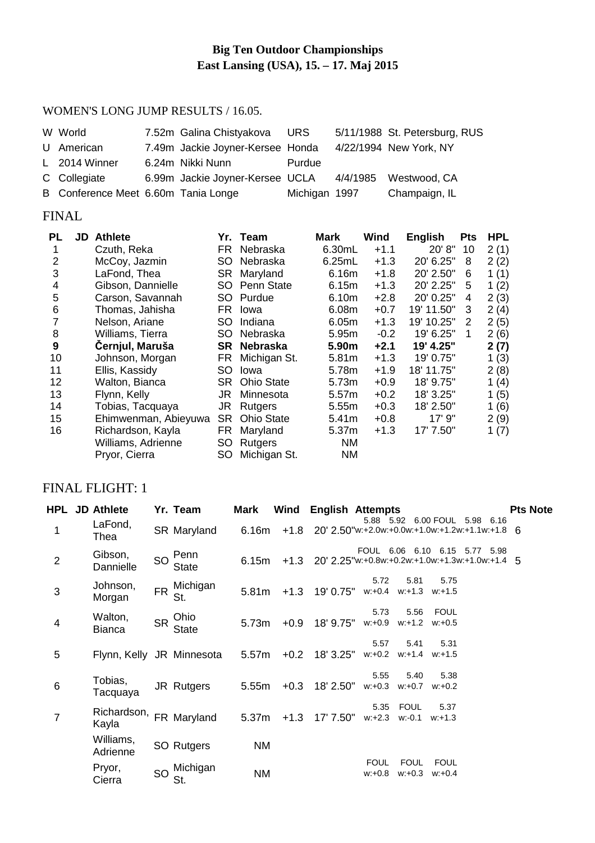# **Big Ten Outdoor Championships East Lansing (USA), 15. – 17. Maj 2015**

#### WOMEN'S LONG JUMP RESULTS / 16.05.

| W World                             | 7.52m Galina Chistyakova URS     |               |          | 5/11/1988 St. Petersburg, RUS |
|-------------------------------------|----------------------------------|---------------|----------|-------------------------------|
| U American                          | 7.49m Jackie Joyner-Kersee Honda |               |          | 4/22/1994 New York, NY        |
| L 2014 Winner                       | 6.24m Nikki Nunn                 | Purdue        |          |                               |
| C Collegiate                        | 6.99m Jackie Joyner-Kersee UCLA  |               | 4/4/1985 | Westwood, CA                  |
| B Conference Meet 6.60m Tania Longe |                                  | Michigan 1997 |          | Champaign, IL                 |

## FINAL

| PL | <b>JD</b> Athlete    |           | Yr. Team          | <b>Mark</b> | Wind   | <b>English</b> | <b>Pts</b> | <b>HPL</b> |
|----|----------------------|-----------|-------------------|-------------|--------|----------------|------------|------------|
|    | Czuth, Reka          | FR        | Nebraska          | 6.30mL      | $+1.1$ | 20' 8"         | 10         | 2(1)       |
| 2  | McCoy, Jazmin        | SO        | Nebraska          | 6.25mL      | $+1.3$ | 20' 6.25"      | 8          | 2(2)       |
| 3  | LaFond, Thea         | SR        | Maryland          | 6.16m       | $+1.8$ | 20' 2.50"      | 6          | 1(1)       |
| 4  | Gibson, Dannielle    | SO        | Penn State        | 6.15m       | $+1.3$ | 20' 2.25"      | 5          | 1(2)       |
| 5  | Carson, Savannah     | SO.       | Purdue            | 6.10m       | $+2.8$ | 20' 0.25"      | 4          | 2(3)       |
| 6  | Thomas, Jahisha      | FR.       | Iowa              | 6.08m       | $+0.7$ | 19' 11.50"     | 3          | 2(4)       |
| 7  | Nelson, Ariane       | SO        | Indiana           | 6.05m       | $+1.3$ | 19' 10.25"     | 2          | 2(5)       |
| 8  | Williams, Tierra     | SO        | Nebraska          | 5.95m       | $-0.2$ | 19' 6.25"      | 1          | 2(6)       |
| 9  | Černjul, Maruša      | SR        | Nebraska          | 5.90m       | $+2.1$ | 19' 4.25"      |            | 2(7)       |
| 10 | Johnson, Morgan      | <b>FR</b> | Michigan St.      | 5.81m       | $+1.3$ | 19' 0.75"      |            | 1(3)       |
| 11 | Ellis, Kassidy       | SO        | Iowa              | 5.78m       | $+1.9$ | 18' 11.75"     |            | 2(8)       |
| 12 | Walton, Bianca       | SR.       | <b>Ohio State</b> | 5.73m       | $+0.9$ | 18' 9.75"      |            | 1(4)       |
| 13 | Flynn, Kelly         | JR        | Minnesota         | 5.57m       | $+0.2$ | 18' 3.25"      |            | 1(5)       |
| 14 | Tobias, Tacquaya     | JR        | <b>Rutgers</b>    | 5.55m       | $+0.3$ | 18' 2.50"      |            | 1(6)       |
| 15 | Ehimwenman, Abieyuwa | SR        | <b>Ohio State</b> | 5.41m       | $+0.8$ | 17' 9"         |            | 2(9)       |
| 16 | Richardson, Kayla    | <b>FR</b> | Maryland          | 5.37m       | $+1.3$ | 17' 7.50"      |            | 1 $(7)$    |
|    | Williams, Adrienne   | SO        | <b>Rutgers</b>    | <b>NM</b>   |        |                |            |            |
|    | Pryor, Cierra        | SO        | Michigan St.      | <b>NM</b>   |        |                |            |            |

## FINAL FLIGHT: 1

|                | HPL JD Athlete            |           | Yr. Team             | Mark      |        | <b>Wind English Attempts</b>   |                          |                                       |                             |                                                                                                   | <b>Pts Note</b> |
|----------------|---------------------------|-----------|----------------------|-----------|--------|--------------------------------|--------------------------|---------------------------------------|-----------------------------|---------------------------------------------------------------------------------------------------|-----------------|
|                | LaFond,<br>Thea           |           | SR Maryland          | 6.16m     |        |                                |                          |                                       |                             | 5.88   5.92   6.00   FOUL   5.98   6.16<br>$+1.8$ 20' 2.50"w:+2.0w:+0.0w:+1.0w:+1.2w:+1.1w:+1.8 6 |                 |
| $\overline{2}$ | Gibson,<br>Dannielle      | SO        | Penn<br><b>State</b> | 6.15m     |        |                                |                          |                                       |                             | FOUL 6.06 6.10 6.15 5.77 5.98<br>$+1.3$ 20' 2.25"w:+0.8w:+0.2w:+1.0w:+1.3w:+1.0w:+1.4 5           |                 |
| 3              | Johnson,<br>Morgan        | <b>FR</b> | Michigan<br>St.      | 5.81m     |        | $+1.3$ 19' 0.75"               | 5.72                     | 5.81<br>$w: +0.4$ $w: +1.3$ $w: +1.5$ | 5.75                        |                                                                                                   |                 |
| $\overline{4}$ | Walton,<br><b>Bianca</b>  | <b>SR</b> | Ohio<br><b>State</b> | 5.73m     | $+0.9$ | 18' 9.75"                      | 5.73<br>$w: +0.9$        | 5.56                                  | FOUL<br>$w: +1.2$ $w: +0.5$ |                                                                                                   |                 |
| 5              | Flynn, Kelly JR Minnesota |           |                      | 5.57m     | $+0.2$ | 18' 3.25" w:+0.2 w:+1.4 w:+1.5 | 5.57                     | 5.41                                  | 5.31                        |                                                                                                   |                 |
| $\,6$          | Tobias,<br>Tacquaya       |           | JR Rutgers           | 5.55m     | $+0.3$ | 18' 2.50"                      | 5.55<br>$w: +0.3$        | 5.40<br>w:+0.7                        | 5.38<br>$w: +0.2$           |                                                                                                   |                 |
| $\overline{7}$ | Richardson,<br>Kayla      |           | FR Maryland          | 5.37m     | $+1.3$ | 17' 7.50"                      | 5.35                     | FOUL<br>$w.+2.3$ $w:-0.1$             | 5.37<br>$w: +1.3$           |                                                                                                   |                 |
|                | Williams,<br>Adrienne     |           | SO Rutgers           | <b>NM</b> |        |                                |                          |                                       |                             |                                                                                                   |                 |
|                | Pryor,<br>Cierra          | SO        | Michigan<br>St.      | <b>NM</b> |        |                                | <b>FOUL</b><br>$w: +0.8$ | <b>FOUL</b><br>$w: +0.3$              | <b>FOUL</b><br>$w: +0.4$    |                                                                                                   |                 |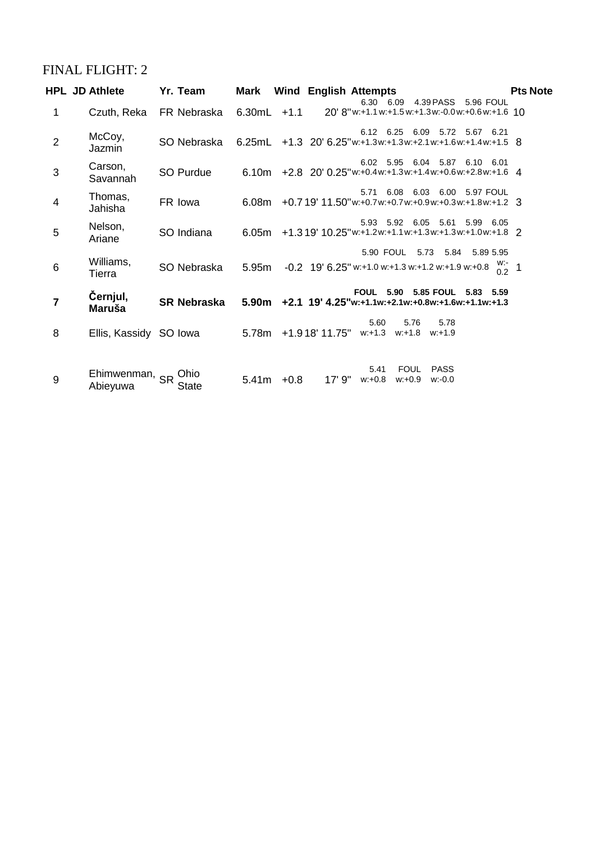# FINAL FLIGHT: 2

|                 | <b>HPL JD Athlete</b>      | Yr. Team                                                                         |               | <b>Mark</b> Wind English Attempts                                  |                               |                |                               |                   | <b>Pts Note</b> |
|-----------------|----------------------------|----------------------------------------------------------------------------------|---------------|--------------------------------------------------------------------|-------------------------------|----------------|-------------------------------|-------------------|-----------------|
| 1               |                            | Czuth, Reka FR Nebraska 6.30mL +1.1 20'8"w:+1.1w:+1.5w:+1.3w:-0.0w:+0.6w:+1.6 10 |               |                                                                    |                               |                | 6.30 6.09 4.39 PASS 5.96 FOUL |                   |                 |
| $\overline{2}$  | McCoy,<br>Jazmin           | SO Nebraska                                                                      |               | 6.25mL +1.3 20'6.25"w:+1.3w:+1.3w:+2.1w:+1.6w:+1.4w:+1.5 8         |                               |                | 6.12 6.25 6.09 5.72 5.67 6.21 |                   |                 |
| 3               | Carson,<br>Savannah        | SO Purdue                                                                        |               | 6.10m +2.8 20' 0.25"w:+0.4w:+1.3w:+1.4w:+0.6w:+2.8w:+1.6 4         |                               |                | 6.02 5.95 6.04 5.87 6.10 6.01 |                   |                 |
| $\overline{4}$  | Thomas,<br>Jahisha         | FR lowa                                                                          |               | 6.08m + 0.7 19' 11.50" w:+0.7 w:+0.7 w:+0.9 w:+0.3 w:+1.8 w:+1.2 3 |                               |                | 5.71 6.08 6.03 6.00 5.97 FOUL |                   |                 |
| 5               | Nelson,<br>Ariane          | SO Indiana                                                                       |               | 6.05m +1.319' 10.25" w:+1.2 w:+1.1 w:+1.3 w:+1.3 w:+1.0 w:+1.8 2   |                               |                | 5.93 5.92 6.05 5.61 5.99 6.05 |                   |                 |
| $6\phantom{1}6$ | Williams,<br>Tierra        | SO Nebraska                                                                      |               | 5.95m -0.2 19' 6.25" w:+1.0 w:+1.3 w:+1.2 w:+1.9 w:+0.8            |                               |                | 5.90 FOUL 5.73 5.84 5.89 5.95 | $\frac{W}{0.2}$ 1 |                 |
| $\overline{7}$  | Černjul,<br>Maruša         | SR Nebraska                                                                      |               | $5.90m$ +2.1 19' 4.25"w:+1.1w:+2.1w:+0.8w:+1.6w:+1.1w:+1.3         | FOUL 5.90 5.85 FOUL 5.83 5.59 |                |                               |                   |                 |
| 8               | Ellis, Kassidy SO Iowa     |                                                                                  |               | 5.78m +1.918'11.75" w:+1.3 w:+1.8 w:+1.9                           | 5.60                          | 5.76           | 5.78                          |                   |                 |
| 9               | Ehimwenman, SR<br>Abieyuwa | Ohio<br><b>State</b>                                                             | $5.41m + 0.8$ | 17' 9" w:+0.8                                                      | 5.41                          | FOUL<br>w:+0.9 | <b>PASS</b><br>w:-0.0         |                   |                 |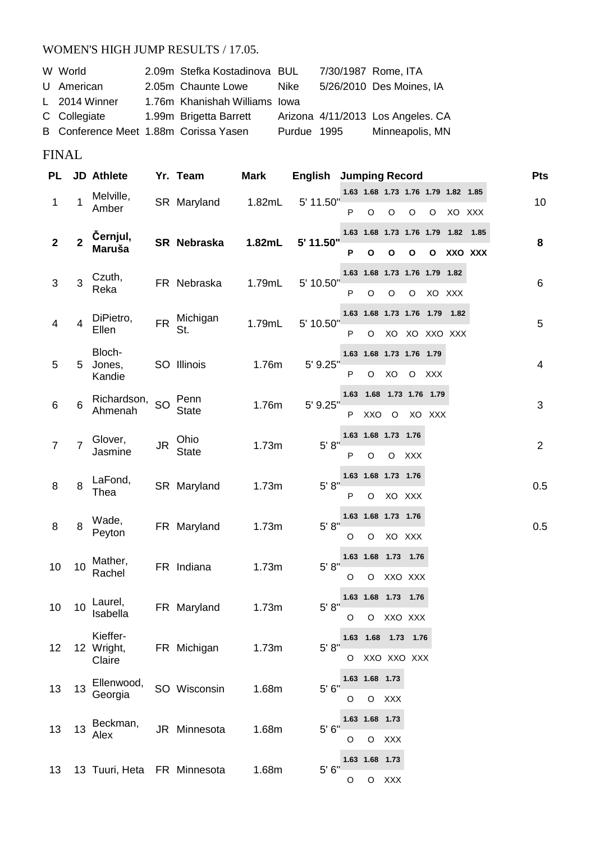#### WOMEN'S HIGH JUMP RESULTS / 17.05.

| W World                               | 2.09m Stefka Kostadinova BUL  |             | 7/30/1987 Rome, ITA               |
|---------------------------------------|-------------------------------|-------------|-----------------------------------|
| U American                            | 2.05m Chaunte Lowe            | Nike        | 5/26/2010 Des Moines, IA          |
| L 2014 Winner                         | 1.76m Khanishah Williams Iowa |             |                                   |
| C Collegiate                          | 1.99m Brigetta Barrett        |             | Arizona 4/11/2013 Los Angeles. CA |
| B Conference Meet 1.88m Corissa Yasen |                               | Purdue 1995 | Minneapolis, MN                   |

# FINAL

| PL             |    | <b>JD</b> Athlete                |           | Yr. Team             | <b>Mark</b> | <b>English</b> |   | <b>Jumping Record</b>                   |            |            |                                                  |           |         | Pts            |
|----------------|----|----------------------------------|-----------|----------------------|-------------|----------------|---|-----------------------------------------|------------|------------|--------------------------------------------------|-----------|---------|----------------|
| 1              | 1  | Melville,<br>Amber               |           | SR Maryland          | 1.82mL      | 5' 11.50"      | P | O                                       | O          | O          | 1.63 1.68 1.73 1.76 1.79 1.82 1.85<br>O          | XO XXX    |         | 10             |
|                |    |                                  |           |                      |             |                |   | 1.63 1.68 1.73 1.76 1.79                |            |            |                                                  | 1.82 1.85 |         |                |
| $\mathbf{2}$   | 2  | Černjul,<br><b>Maruša</b>        |           | SR Nebraska          | 1.82mL      | 5' 11.50"      | Ρ | $\mathbf{o}$                            | Ο          | О          | O                                                |           | XXO XXX | 8              |
| 3              | 3  | Czuth,<br>Reka                   |           | FR Nebraska          | 1.79mL      | 5' 10.50"      | P | $\circ$                                 | O          | O          | 1.63 1.68 1.73 1.76 1.79 1.82<br>XO XXX          |           |         | 6              |
| 4              | 4  | DiPietro,<br>Ellen               | <b>FR</b> | Michigan<br>St.      | 1.79mL      | 5' 10.50"      | P | O                                       | XO         |            | 1.63  1.68  1.73  1.76  1.79  1.82<br>XO XXO XXX |           |         | 5              |
| 5              | 5  | Bloch-<br>Jones,<br>Kandie       |           | SO Illinois          | 1.76m       | 5' 9.25"       | P | 1.63 1.68 1.73 1.76 1.79<br>O           | XO         | $\circ$    | <b>XXX</b>                                       |           |         | $\overline{4}$ |
| 6              | 6  | Richardson, SO<br>Ahmenah        |           | Penn<br><b>State</b> | 1.76m       | 5' 9.25"       | P | XXO                                     | O          |            | 1.63  1.68  1.73  1.76  1.79<br>XO XXX           |           |         | 3              |
| $\overline{7}$ | 7  | Glover,<br>Jasmine               | JR        | Ohio<br><b>State</b> | 1.73m       | 5' 8''         | P | 1.63 1.68 1.73 1.76<br>O                | $\circ$    | <b>XXX</b> |                                                  |           |         | 2              |
| 8              | 8  | LaFond,<br>Thea                  |           | SR Maryland          | 1.73m       | 5' 8''         | P | 1.63 1.68 1.73 1.76<br>O                |            | XO XXX     |                                                  |           |         | 0.5            |
| 8              | 8  | Wade,<br>Peyton                  |           | FR Maryland          | 1.73m       | 5' 8''         | O | 1.63 1.68 1.73 1.76<br>O                |            | XO XXX     |                                                  |           |         | 0.5            |
| 10             | 10 | Mather,<br>Rachel                |           | FR Indiana           | 1.73m       | 5' 8''         | O | 1.63 1.68 1.73 1.76<br>O                | XXO XXX    |            |                                                  |           |         |                |
| 10             | 10 | Laurel,<br>Isabella              |           | FR Maryland          | 1.73m       | 5' 8''         |   | 1.63 1.68 1.73 1.76<br>O O XXO XXX      |            |            |                                                  |           |         |                |
| 12             |    | Kieffer-<br>12 Wright,<br>Claire |           | FR Michigan          | 1.73m       | 5' 8"          |   | 1.63  1.68  1.73  1.76<br>O XXO XXO XXX |            |            |                                                  |           |         |                |
| 13             | 13 | Ellenwood,<br>Georgia            |           | SO Wisconsin         | 1.68m       | 5'6''          | O | 1.63 1.68 1.73                          | O XXX      |            |                                                  |           |         |                |
| 13             | 13 | Beckman,<br>Alex                 |           | JR Minnesota         | 1.68m       | 5' 6"          | O | 1.63 1.68 1.73<br>$\circ$               | <b>XXX</b> |            |                                                  |           |         |                |
| 13             |    | 13 Tuuri, Heta FR Minnesota      |           |                      | 1.68m       | 5' 6''         | O | 1.63 1.68 1.73                          | O XXX      |            |                                                  |           |         |                |